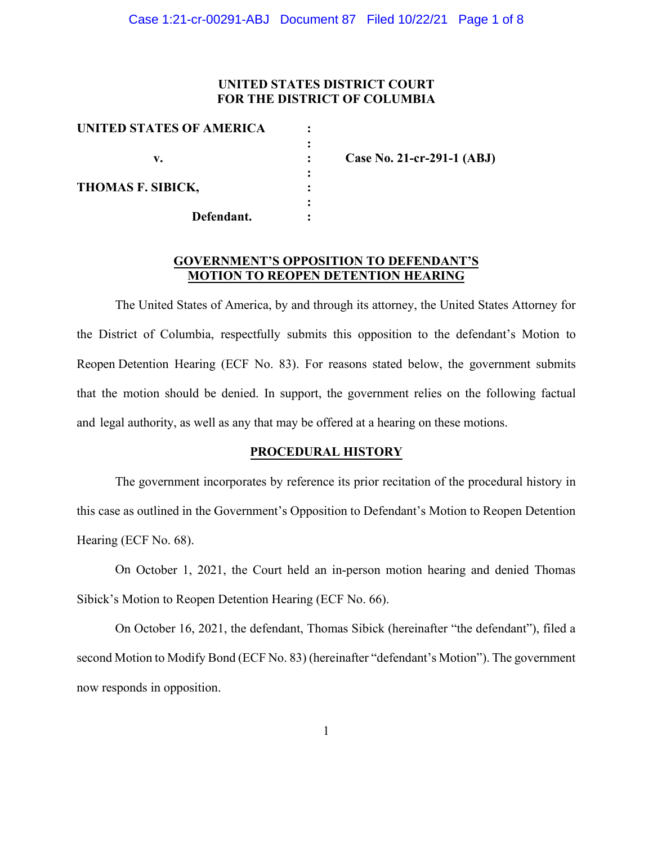## **UNITED STATES DISTRICT COURT FOR THE DISTRICT OF COLUMBIA**

| UNITED STATES OF AMERICA |                            |
|--------------------------|----------------------------|
|                          |                            |
| v.                       | Case No. 21-cr-291-1 (ABJ) |
|                          |                            |
| THOMAS F. SIBICK,        |                            |
|                          |                            |
| Defendant.               |                            |

## **GOVERNMENT'S OPPOSITION TO DEFENDANT'S MOTION TO REOPEN DETENTION HEARING**

The United States of America, by and through its attorney, the United States Attorney for the District of Columbia, respectfully submits this opposition to the defendant's Motion to Reopen Detention Hearing (ECF No. 83). For reasons stated below, the government submits that the motion should be denied. In support, the government relies on the following factual and legal authority, as well as any that may be offered at a hearing on these motions.

#### **PROCEDURAL HISTORY**

The government incorporates by reference its prior recitation of the procedural history in this case as outlined in the Government's Opposition to Defendant's Motion to Reopen Detention Hearing (ECF No. 68).

On October 1, 2021, the Court held an in-person motion hearing and denied Thomas Sibick's Motion to Reopen Detention Hearing (ECF No. 66).

On October 16, 2021, the defendant, Thomas Sibick (hereinafter "the defendant"), filed a second Motion to Modify Bond (ECF No. 83) (hereinafter "defendant's Motion"). The government now responds in opposition.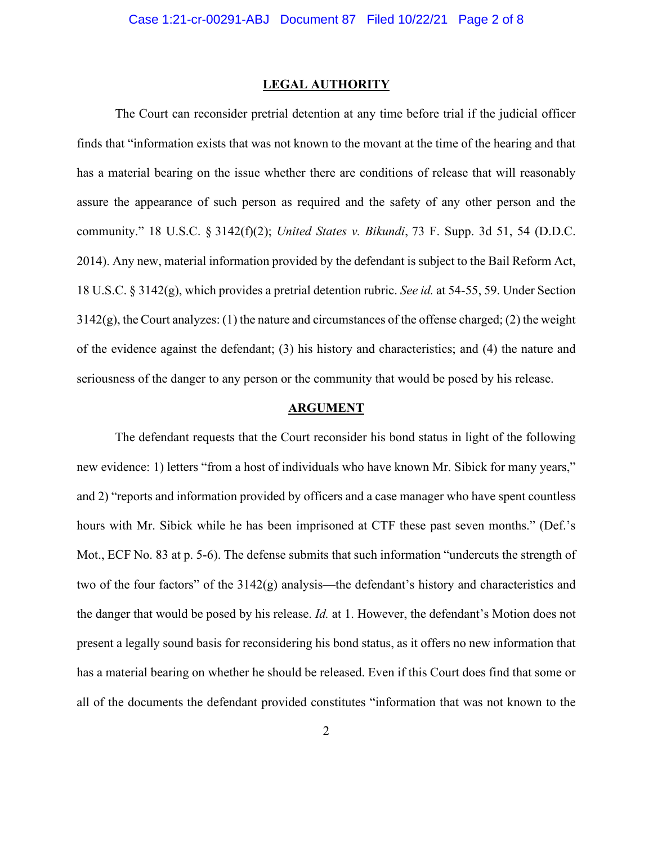#### **LEGAL AUTHORITY**

The Court can reconsider pretrial detention at any time before trial if the judicial officer finds that "information exists that was not known to the movant at the time of the hearing and that has a material bearing on the issue whether there are conditions of release that will reasonably assure the appearance of such person as required and the safety of any other person and the community." 18 U.S.C. § 3142(f)(2); *United States v. Bikundi*, 73 F. Supp. 3d 51, 54 (D.D.C. 2014). Any new, material information provided by the defendant is subject to the Bail Reform Act, 18 U.S.C. § 3142(g), which provides a pretrial detention rubric. *See id.* at 54-55, 59. Under Section  $3142(g)$ , the Court analyzes: (1) the nature and circumstances of the offense charged; (2) the weight of the evidence against the defendant; (3) his history and characteristics; and (4) the nature and seriousness of the danger to any person or the community that would be posed by his release.

#### **ARGUMENT**

The defendant requests that the Court reconsider his bond status in light of the following new evidence: 1) letters "from a host of individuals who have known Mr. Sibick for many years," and 2) "reports and information provided by officers and a case manager who have spent countless hours with Mr. Sibick while he has been imprisoned at CTF these past seven months." (Def.'s Mot., ECF No. 83 at p. 5-6). The defense submits that such information "undercuts the strength of two of the four factors" of the 3142(g) analysis—the defendant's history and characteristics and the danger that would be posed by his release. *Id.* at 1. However, the defendant's Motion does not present a legally sound basis for reconsidering his bond status, as it offers no new information that has a material bearing on whether he should be released. Even if this Court does find that some or all of the documents the defendant provided constitutes "information that was not known to the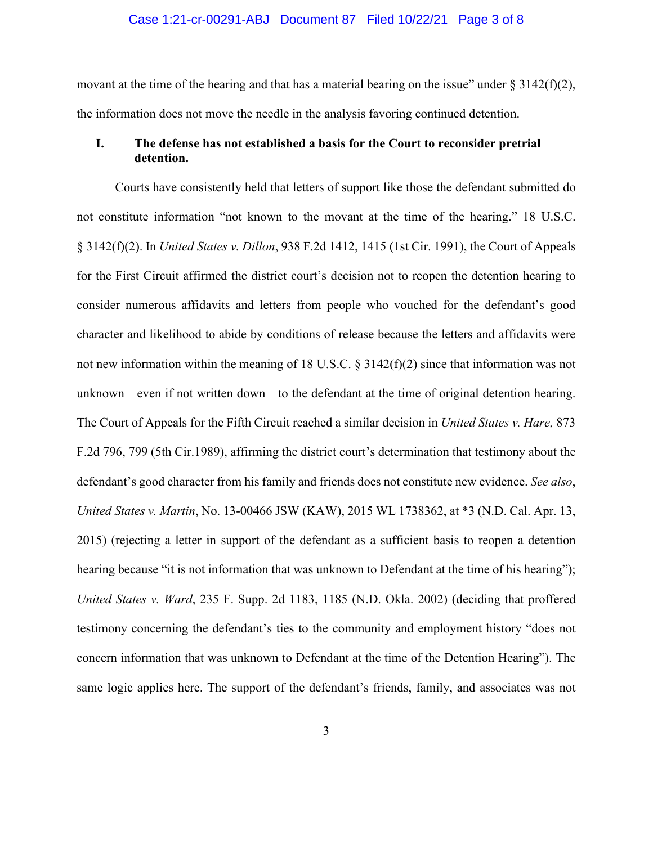#### Case 1:21-cr-00291-ABJ Document 87 Filed 10/22/21 Page 3 of 8

movant at the time of the hearing and that has a material bearing on the issue" under  $\S 3142(f)(2)$ , the information does not move the needle in the analysis favoring continued detention.

## **I. The defense has not established a basis for the Court to reconsider pretrial detention.**

Courts have consistently held that letters of support like those the defendant submitted do not constitute information "not known to the movant at the time of the hearing." 18 U.S.C. § 3142(f)(2). In *United States v. Dillon*, 938 F.2d 1412, 1415 (1st Cir. 1991), the Court of Appeals for the First Circuit affirmed the district court's decision not to reopen the detention hearing to consider numerous affidavits and letters from people who vouched for the defendant's good character and likelihood to abide by conditions of release because the letters and affidavits were not new information within the meaning of 18 U.S.C. § 3142(f)(2) since that information was not unknown—even if not written down—to the defendant at the time of original detention hearing. The Court of Appeals for the Fifth Circuit reached a similar decision in *United States v. Hare,* 873 F.2d 796, 799 (5th Cir.1989), affirming the district court's determination that testimony about the defendant's good character from his family and friends does not constitute new evidence. *See also*, *United States v. Martin*, No. 13-00466 JSW (KAW), 2015 WL 1738362, at \*3 (N.D. Cal. Apr. 13, 2015) (rejecting a letter in support of the defendant as a sufficient basis to reopen a detention hearing because "it is not information that was unknown to Defendant at the time of his hearing"); *United States v. Ward*, 235 F. Supp. 2d 1183, 1185 (N.D. Okla. 2002) (deciding that proffered testimony concerning the defendant's ties to the community and employment history "does not concern information that was unknown to Defendant at the time of the Detention Hearing"). The same logic applies here. The support of the defendant's friends, family, and associates was not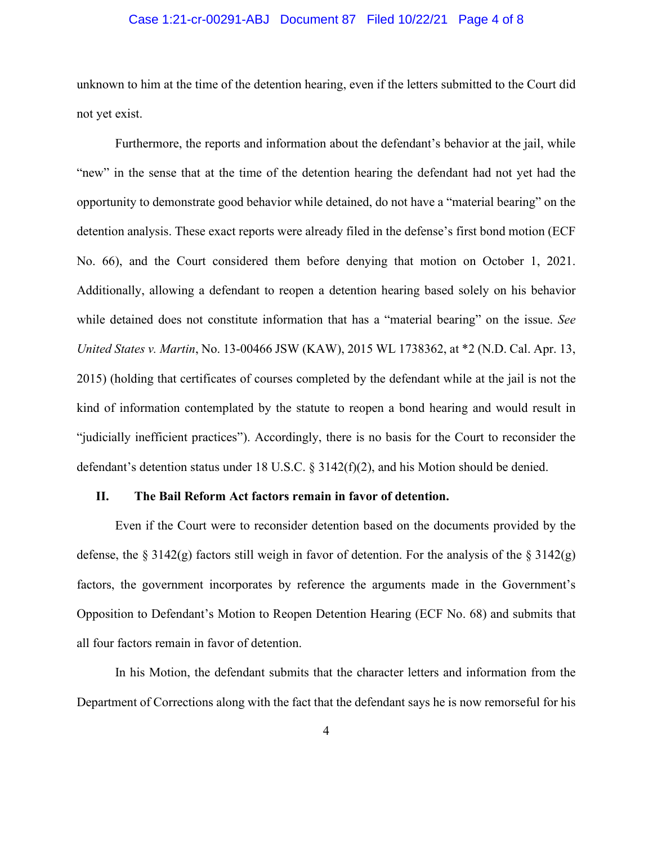### Case 1:21-cr-00291-ABJ Document 87 Filed 10/22/21 Page 4 of 8

unknown to him at the time of the detention hearing, even if the letters submitted to the Court did not yet exist.

Furthermore, the reports and information about the defendant's behavior at the jail, while "new" in the sense that at the time of the detention hearing the defendant had not yet had the opportunity to demonstrate good behavior while detained, do not have a "material bearing" on the detention analysis. These exact reports were already filed in the defense's first bond motion (ECF No. 66), and the Court considered them before denying that motion on October 1, 2021. Additionally, allowing a defendant to reopen a detention hearing based solely on his behavior while detained does not constitute information that has a "material bearing" on the issue. *See United States v. Martin*, No. 13-00466 JSW (KAW), 2015 WL 1738362, at \*2 (N.D. Cal. Apr. 13, 2015) (holding that certificates of courses completed by the defendant while at the jail is not the kind of information contemplated by the statute to reopen a bond hearing and would result in "judicially inefficient practices"). Accordingly, there is no basis for the Court to reconsider the defendant's detention status under 18 U.S.C. § 3142(f)(2), and his Motion should be denied.

#### **II. The Bail Reform Act factors remain in favor of detention.**

Even if the Court were to reconsider detention based on the documents provided by the defense, the § 3142(g) factors still weigh in favor of detention. For the analysis of the § 3142(g) factors, the government incorporates by reference the arguments made in the Government's Opposition to Defendant's Motion to Reopen Detention Hearing (ECF No. 68) and submits that all four factors remain in favor of detention.

In his Motion, the defendant submits that the character letters and information from the Department of Corrections along with the fact that the defendant says he is now remorseful for his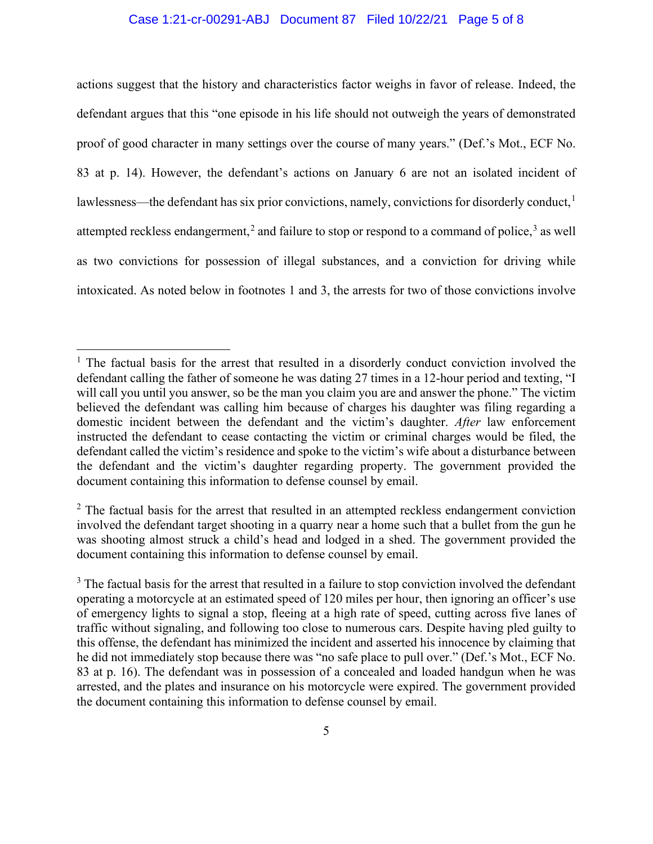## Case 1:21-cr-00291-ABJ Document 87 Filed 10/22/21 Page 5 of 8

actions suggest that the history and characteristics factor weighs in favor of release. Indeed, the defendant argues that this "one episode in his life should not outweigh the years of demonstrated proof of good character in many settings over the course of many years." (Def.'s Mot., ECF No. 83 at p. 14). However, the defendant's actions on January 6 are not an isolated incident of lawlessness—the defendant has six prior convictions, namely, convictions for disorderly conduct, $<sup>1</sup>$ </sup> attempted reckless endangerment,<sup>2</sup> and failure to stop or respond to a command of police,<sup>3</sup> as well as two convictions for possession of illegal substances, and a conviction for driving while intoxicated. As noted below in footnotes 1 and 3, the arrests for two of those convictions involve

 $1$  The factual basis for the arrest that resulted in a disorderly conduct conviction involved the defendant calling the father of someone he was dating 27 times in a 12-hour period and texting, "I will call you until you answer, so be the man you claim you are and answer the phone." The victim believed the defendant was calling him because of charges his daughter was filing regarding a domestic incident between the defendant and the victim's daughter. *After* law enforcement instructed the defendant to cease contacting the victim or criminal charges would be filed, the defendant called the victim's residence and spoke to the victim's wife about a disturbance between the defendant and the victim's daughter regarding property. The government provided the document containing this information to defense counsel by email.

 $2$  The factual basis for the arrest that resulted in an attempted reckless endangerment conviction involved the defendant target shooting in a quarry near a home such that a bullet from the gun he was shooting almost struck a child's head and lodged in a shed. The government provided the document containing this information to defense counsel by email.

 $3$  The factual basis for the arrest that resulted in a failure to stop conviction involved the defendant operating a motorcycle at an estimated speed of 120 miles per hour, then ignoring an officer's use of emergency lights to signal a stop, fleeing at a high rate of speed, cutting across five lanes of traffic without signaling, and following too close to numerous cars. Despite having pled guilty to this offense, the defendant has minimized the incident and asserted his innocence by claiming that he did not immediately stop because there was "no safe place to pull over." (Def.'s Mot., ECF No. 83 at p. 16). The defendant was in possession of a concealed and loaded handgun when he was arrested, and the plates and insurance on his motorcycle were expired. The government provided the document containing this information to defense counsel by email.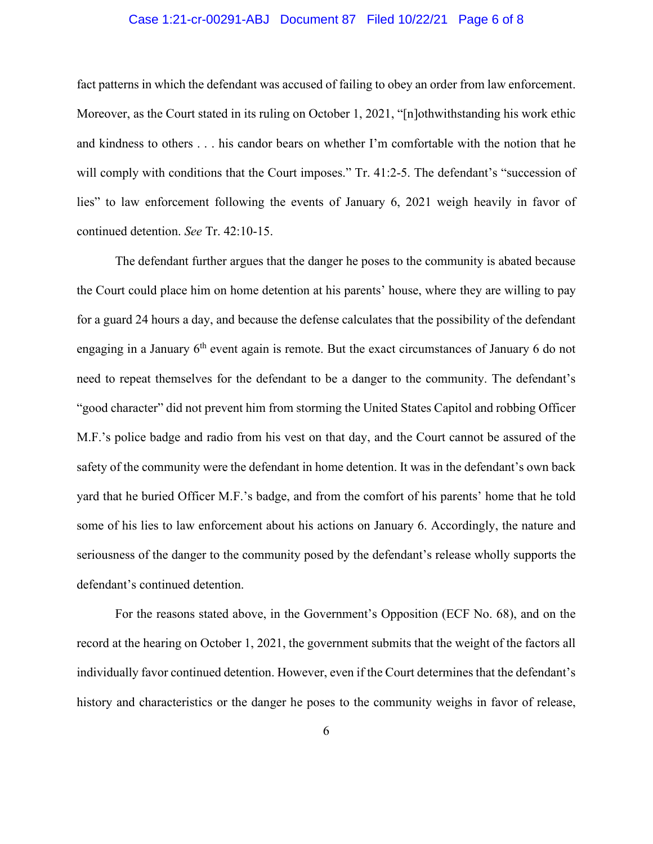### Case 1:21-cr-00291-ABJ Document 87 Filed 10/22/21 Page 6 of 8

fact patterns in which the defendant was accused of failing to obey an order from law enforcement. Moreover, as the Court stated in its ruling on October 1, 2021, "[n]othwithstanding his work ethic and kindness to others . . . his candor bears on whether I'm comfortable with the notion that he will comply with conditions that the Court imposes." Tr. 41:2-5. The defendant's "succession of lies" to law enforcement following the events of January 6, 2021 weigh heavily in favor of continued detention. *See* Tr. 42:10-15.

The defendant further argues that the danger he poses to the community is abated because the Court could place him on home detention at his parents' house, where they are willing to pay for a guard 24 hours a day, and because the defense calculates that the possibility of the defendant engaging in a January  $6<sup>th</sup>$  event again is remote. But the exact circumstances of January 6 do not need to repeat themselves for the defendant to be a danger to the community. The defendant's "good character" did not prevent him from storming the United States Capitol and robbing Officer M.F.'s police badge and radio from his vest on that day, and the Court cannot be assured of the safety of the community were the defendant in home detention. It was in the defendant's own back yard that he buried Officer M.F.'s badge, and from the comfort of his parents' home that he told some of his lies to law enforcement about his actions on January 6. Accordingly, the nature and seriousness of the danger to the community posed by the defendant's release wholly supports the defendant's continued detention.

For the reasons stated above, in the Government's Opposition (ECF No. 68), and on the record at the hearing on October 1, 2021, the government submits that the weight of the factors all individually favor continued detention. However, even if the Court determines that the defendant's history and characteristics or the danger he poses to the community weighs in favor of release,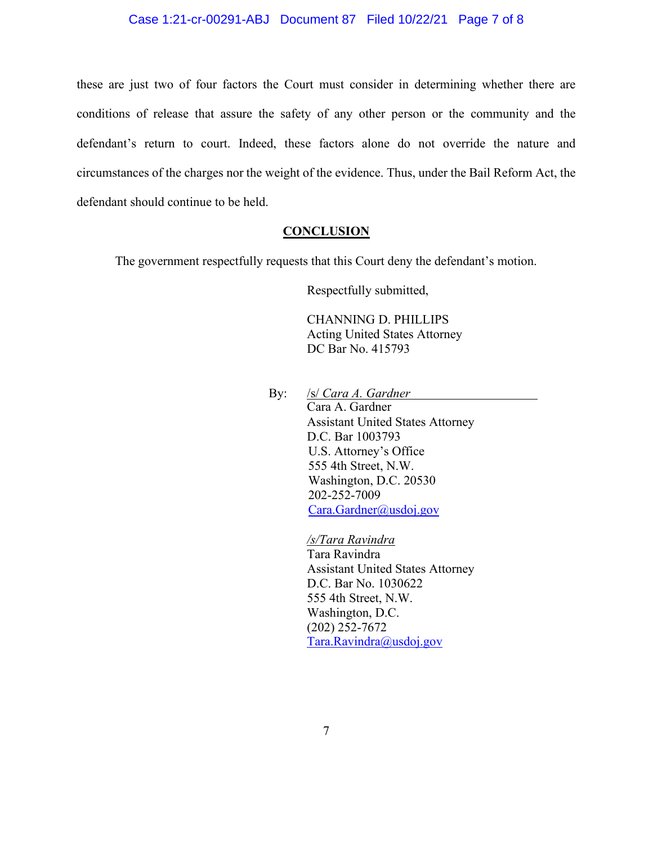### Case 1:21-cr-00291-ABJ Document 87 Filed 10/22/21 Page 7 of 8

these are just two of four factors the Court must consider in determining whether there are conditions of release that assure the safety of any other person or the community and the defendant's return to court. Indeed, these factors alone do not override the nature and circumstances of the charges nor the weight of the evidence. Thus, under the Bail Reform Act, the defendant should continue to be held.

## **CONCLUSION**

The government respectfully requests that this Court deny the defendant's motion.

Respectfully submitted,

CHANNING D. PHILLIPS Acting United States Attorney DC Bar No. 415793

By: /s/ *Cara A. Gardner*

Cara A. Gardner Assistant United States Attorney D.C. Bar 1003793 U.S. Attorney's Office 555 4th Street, N.W. Washington, D.C. 20530 202-252-7009 Cara.Gardner@usdoj.gov

*/s/Tara Ravindra*  Tara Ravindra Assistant United States Attorney D.C. Bar No. 1030622 555 4th Street, N.W. Washington, D.C. (202) 252-7672 Tara.Ravindra@usdoj.gov